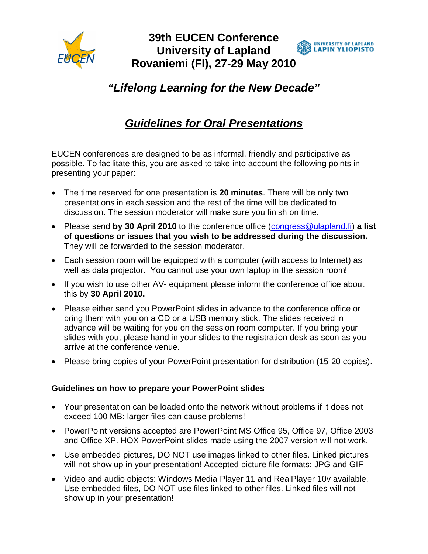

## **39th EUCEN Conference SUNIVERSITY OF LAPLAND**<br>**S LAPIN YLIOPISTO University of Lapland Rovaniemi (FI), 27-29 May 2010**

## *"Lifelong Learning for the New Decade"*

## *Guidelines for Oral Presentations*

EUCEN conferences are designed to be as informal, friendly and participative as possible. To facilitate this, you are asked to take into account the following points in presenting your paper:

- The time reserved for one presentation is **20 minutes**. There will be only two presentations in each session and the rest of the time will be dedicated to discussion. The session moderator will make sure you finish on time.
- Please send by 30 April 2010 to the conference office ([congress@ulapland.fi\)](mailto:congress@ulapland.fi) a list **of questions or issues that you wish to be addressed during the discussion.** They will be forwarded to the session moderator.
- Each session room will be equipped with a computer (with access to Internet) as well as data projector. You cannot use your own laptop in the session room!
- If you wish to use other AV- equipment please inform the conference office about this by **30 April 2010.**
- Please either send you PowerPoint slides in advance to the conference office or bring them with you on a CD or a USB memory stick. The slides received in advance will be waiting for you on the session room computer. If you bring your slides with you, please hand in your slides to the registration desk as soon as you arrive at the conference venue.
- Please bring copies of your PowerPoint presentation for distribution (15-20 copies).

## **Guidelines on how to prepare your PowerPoint slides**

- Your presentation can be loaded onto the network without problems if it does not exceed 100 MB: larger files can cause problems!
- PowerPoint versions accepted are PowerPoint MS Office 95, Office 97, Office 2003 and Office XP. HOX PowerPoint slides made using the 2007 version will not work.
- Use embedded pictures, DO NOT use images linked to other files. Linked pictures will not show up in your presentation! Accepted picture file formats: JPG and GIF
- Video and audio objects: Windows Media Player 11 and RealPlayer 10v available. Use embedded files, DO NOT use files linked to other files. Linked files will not show up in your presentation!